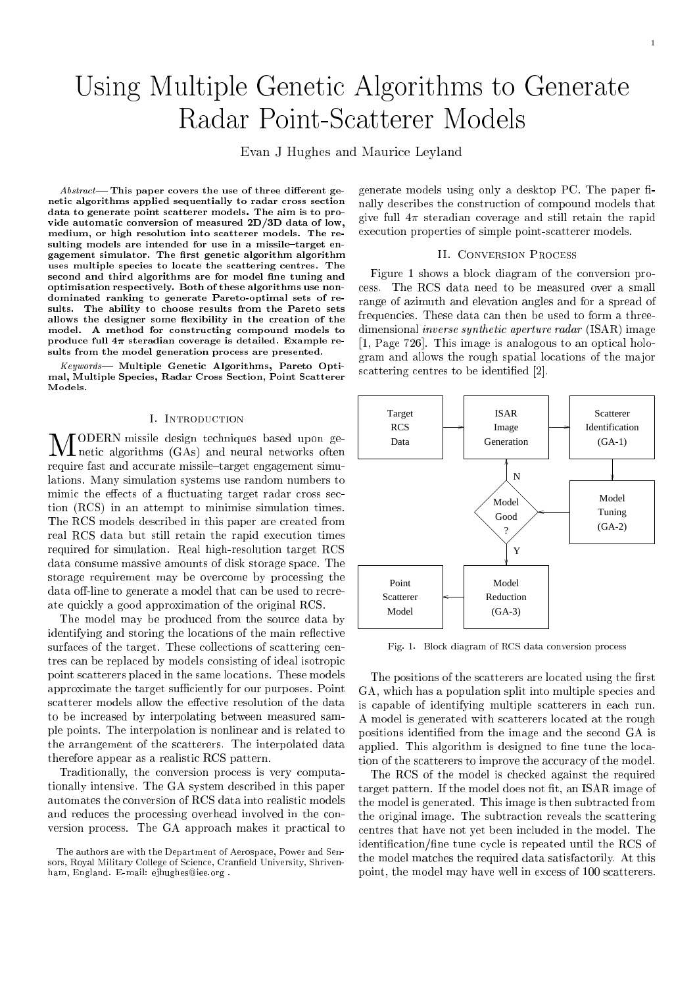# Using Multiple Genetic Algorithms to Generate Radar Point-Scatterer Models

Evan <sup>J</sup> Hughes and Maurice Leyland

 $Abstract$ — This paper covers the use of three different genetic algorithms applied sequentially to radar cross section data to generate point scatterer models. The aim is to provide automatic conversion of measured 2D/3D data of low, medium, or high resolution into scatterer models. The resulting models are intended for use in a missile-target engagement simulator. The first genetic algorithm algorithm uses multiple species to locate the scattering centres. The second and third algorithms are for model fine tuning and optimisation respectively. Both of these algorithms use nondominated ranking to generate Pareto-optimal sets of results. The ability to choose results from the Pareto sets allows the designer some flexibility in the creation of the model. A method for constructing compound models to produce full  $4\pi$  steradian coverage is detailed. Example results from the model generation process are presented.

 $Keywords$ — Multiple Genetic Algorithms, Pareto Optimal, Multiple Species, Radar Cross Section, Point Scatterer Models.

## I. Introduction

 $\overrightarrow{IV}$  netic algorithms (GAs) and neural networks often require fast and accurate missile-target engagement simulations. Many simulation systems use random numbers to mimic the effects of a fluctuating target radar cross section (RCS) in an attempt to minimise simulation times. The RCS models described in this paper are created from real RCS data but still retain the rapid execution times required for simulation. Real high-resolution target RCS data consume massive amounts of disk storage space. The storage requirement may be overcome by processing the data off-line to generate a model that can be used to recreate quickly a good approximation of the original RCS.

The model may be produced from the source data by identifying and storing the locations of the main reflective surfaces of the target. These collections of scattering centres can be replaced by models consisting of ideal isotropic point scatterers placed in the same locations. These models approximate the target sufficiently for our purposes. Point scatterer models allow the effective resolution of the data to be increased by interpolating between measured sample points. The interpolation is nonlinear and is related to the arrangement of the scatterers. The interpolated data therefore appear as a realistic RCS pattern.

Traditionally, the conversion process is very computationally intensive. The GA system described in this paper automates the conversion of RCS data into realistic models and reduces the processing overhead involved in the conversion process. The GA approach makes it practical to

generate models using only a desktop PC. The paper finally describes the construction of compound models that give full  $4\pi$  steradian coverage and still retain the rapid execution properties of simple point-scatterer models.

#### II. Conversion Process

Figure 1 shows a block diagram of the conversion process. The RCS data need to be measured over a small range of azimuth and elevation angles and for a spread of frequencies. These data can then be used to form a threedimensional inverse synthetic aperture radar (ISAR) image [1, Page 726]. This image is analogous to an optical hologram and allows the rough spatial locations of the ma jor scattering centres to be identified [2].



Fig. 1. Block diagram of RCS data conversion process

The positions of the scatterers are located using the first GA, which has a population split into multiple species and is capable of identifying multiple scatterers in each run. A model is generated with scatterers located at the rough positions identied from the image and the second GA is applied. This algorithm is designed to fine tune the location of the scatterers to improve the accuracy of the model.

The RCS of the model is checked against the required target pattern. If the model does not fit, an ISAR image of the model is generated. This image is then subtracted from the original image. The subtraction reveals the scattering centres that have not yet been included in the model. The identification/fine tune cycle is repeated until the RCS of the model matches the required data satisfactorily. At this point, the model may have well in excess of 100 scatterers.

The authors are with the Department of Aerospace, Power and Sensors, Royal Military College of Science, Cranfield University, Shrivenham, England. E-mail: ejhughes@iee.org .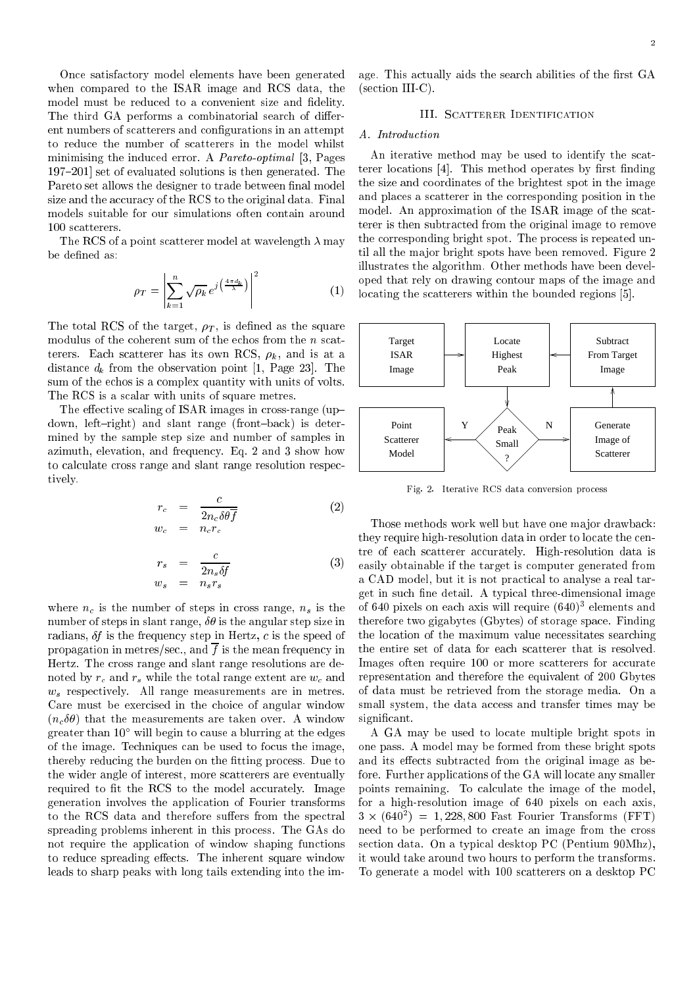Once satisfactory model elements have been generated when compared to the ISAR image and RCS data, the model must be reduced to a convenient size and fidelity. The third GA performs a combinatorial search of different numbers of scatterers and congurations in an attempt to reduce the number of scatterers in the model whilst minimising the induced error. A Pareto-optimal [3, Pages 197-201] set of evaluated solutions is then generated. The Pareto set allows the designer to trade between final model size and the accuracy of the RCS to the original data. Final models suitable for our simulations often contain around 100 scatterers.

The RCS of a point scatterer model at wavelength  $\lambda$  may be defined as:

$$
\rho_T = \left| \sum_{k=1}^n \sqrt{\rho_k} \, e^{j \left( \frac{4 \pi d_k}{\lambda} \right)} \right|^2 \tag{1}
$$

The total RCS of the target,  $\rho_T$ , is defined as the square modulus of the coherent sum of the echos from the  $n$  scatterers. Each scatterer has its own RCS,  $\rho_k$ , and is at a distance  $d_k$  from the observation point [1, Page 23]. The sum of the echos is a complex quantity with units of volts. The RCS is a scalar with units of square metres.

The effective scaling of ISAR images in cross-range (updown, left-right) and slant range (front-back) is determined by the sample step size and number of samples in azimuth, elevation, and frequency. Eq. 2 and 3 show how to calculate cross range and slant range resolution respectively.

$$
r_c = \frac{c}{2n_c\delta\theta\overline{f}}
$$
  
\n
$$
w_c = n_c r_c
$$
 (2)

$$
r_s = \frac{c}{2n_s \delta f}
$$

$$
w_s = n_s r_s
$$
 (3)

where  $n_c$  is the number of steps in cross range,  $n_s$  is the number of steps in slant range,  $\delta\theta$  is the angular step size in radians,  $\delta f$  is the frequency step in Hertz, c is the speed of propagation in metres/sec., and  $\overline{f}$  is the mean frequency in Hertz. The cross range and slant range resolutions are denoted by  $r_c$  and  $r_s$  while the total range extent are  $w_c$  and  $w_s$  respectively. All range measurements are in metres. Care must be exercised in the choice of angular window  $(n_c\delta\theta)$  that the measurements are taken over. A window greater than 10 will begin to cause a blurring at the edges of the image. Techniques can be used to focus the image, thereby reducing the burden on the fitting process. Due to the wider angle of interest, more scatterers are eventually required to fit the RCS to the model accurately. Image generation involves the application of Fourier transforms to the RCS data and therefore suffers from the spectral spreading problems inherent in this process. The GAs do not require the application of window shaping functions to reduce spreading effects. The inherent square window leads to sharp peaks with long tails extending into the image. This actually aids the search abilities of the first GA (section III-C).

## III. SCATTERER IDENTIFICATION

## A. Introduction

An iterative method may be used to identify the scatterer locations  $[4]$ . This method operates by first finding the size and coordinates of the brightest spot in the image and places a scatterer in the corresponding position in the model. An approximation of the ISAR image of the scatterer is then subtracted from the original image to remove the corresponding bright spot. The process is repeated until all the major bright spots have been removed. Figure 2 illustrates the algorithm. Other methods have been developed that rely on drawing contour maps of the image and locating the scatterers within the bounded regions [5].



Fig. 2. Iterative RCS data conversion process

Those methods work well but have one major drawback: they require high-resolution data in order to locate the centre of each scatterer accurately. High-resolution data is easily obtainable if the target is computer generated from a CAD model, but it is not practical to analyse a real target in such fine detail. A typical three-dimensional image of 640 pixels on each axis will require (640) - elements and therefore two gigabytes (Gbytes) of storage space. Finding the location of the maximum value necessitates searching the entire set of data for each scatterer that is resolved. Images often require 100 or more scatterers for accurate representation and therefore the equivalent of 200 Gbytes of data must be retrieved from the storage media. On a small system, the data access and transfer times may be significant.

A GA may be used to locate multiple bright spots in one pass. A model may be formed from these bright spots and its effects subtracted from the original image as before. Further applications of the GA will locate any smaller points remaining. To calculate the image of the model, for a high-resolution image of 640 pixels on each axis,  $3 \times (040^{\circ}) = 1,228,800$  rast rouner Transforms (FFT) need to be performed to create an image from the cross section data. On a typical desktop PC (Pentium 90Mhz), it would take around two hours to perform the transforms. To generate a model with 100 scatterers on a desktop PC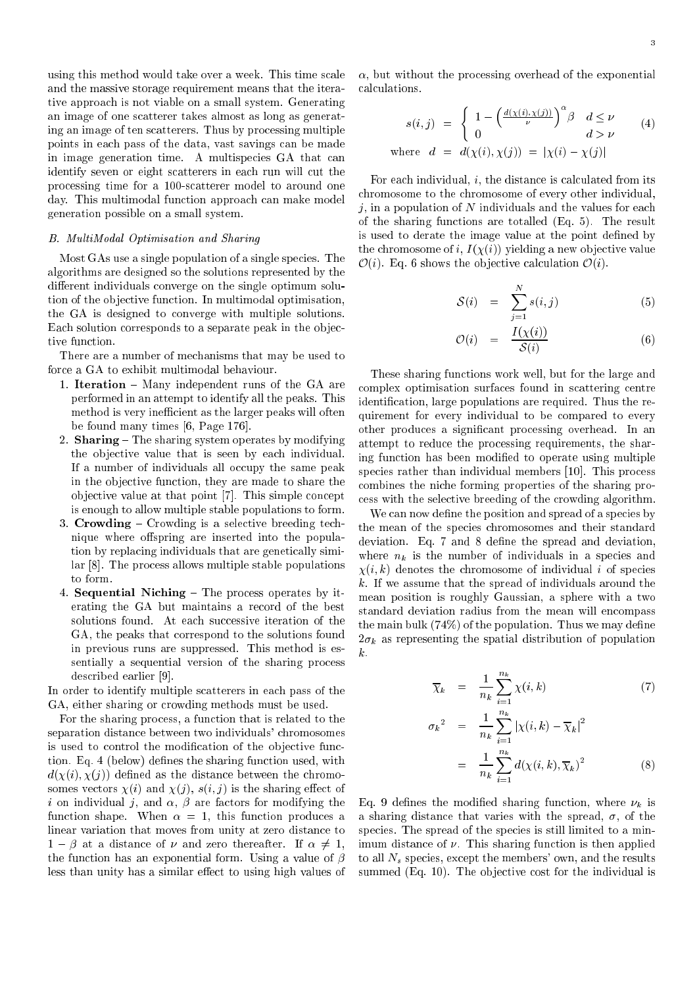using this method would take over a week. This time scale and the massive storage requirement means that the iterative approach is not viable on a small system. Generating an image of one scatterer takes almost as long as generating an image of ten scatterers. Thus by processing multiple points in each pass of the data, vast savings can be made in image generation time. A multispecies GA that can identify seven or eight scatterers in each run will cut the processing time for a 100-scatterer model to around one day. This multimodal function approach can make model generation possible on a small system.

## B. MultiModal Optimisation and Sharing

Most GAs use a single population of a single species. The algorithms are designed so the solutions represented by the different individuals converge on the single optimum solution of the objective function. In multimodal optimisation, the GA is designed to converge with multiple solutions. Each solution corresponds to a separate peak in the ob jective function.

There are a number of mechanisms that may be used to force a GA to exhibit multimodal behaviour.

- 1. Iteration  $-$  Many independent runs of the GA are performed in an attempt to identify all the peaks. This method is very inefficient as the larger peaks will often be found many times [6, Page 176].
- 2. **Sharing**  $-$  The sharing system operates by modifying the ob jective value that is seen by each individual. If a number of individuals all occupy the same peak in the ob jective function, they are made to share the ob jective value at that point [7]. This simple concept is enough to allow multiple stable populations to form.
- 3. Crowding  $=$  Crowding is a selective breeding technique where offspring are inserted into the population by replacing individuals that are genetically similar [8]. The process allows multiple stable populations to form.
- 4. Sequential Niching  $-$  The process operates by iterating the GA but maintains a record of the best solutions found. At each successive iteration of the GA, the peaks that correspond to the solutions found in previous runs are suppressed. This method is essentially a sequential version of the sharing process described earlier [9].

In order to identify multiple scatterers in each pass of the GA, either sharing or crowding methods must be used.

For the sharing process, a function that is related to the separation distance between two individuals' chromosomes is used to control the modification of the objective function. Eq. 4 (below) defines the sharing function used, with  $d(\chi(i), \chi(j))$  defined as the distance between the chromosomes vectors  $\chi(i)$  and  $\chi(j)$ ,  $s(i, j)$  is the sharing effect of i on individual j, and  $\alpha$ ,  $\beta$  are factors for modifying the function shape. When  $\alpha = 1$ , this function produces a linear variation that moves from unity at zero distance to  $1 - \beta$  at a distance of  $\nu$  and zero thereafter. If  $\alpha \neq 1$ , the function has an exponential form. Using a value of  $\beta$ less than unity has a similar effect to using high values of  $\alpha$ , but without the processing overhead of the exponential calculations.

$$
s(i,j) = \begin{cases} 1 - \left(\frac{d(\chi(i), \chi(j))}{\nu}\right)^{\alpha} \beta & d \le \nu \\ 0 & d > \nu \end{cases}
$$
 (4)  
where  $d = d(\chi(i), \chi(j)) = |\chi(i) - \chi(j)|$ 

For each individual,  $i$ , the distance is calculated from its chromosome to the chromosome of every other individual,  $j$ , in a population of  $N$  individuals and the values for each of the sharing functions are totalled (Eq. 5). The result is used to derate the image value at the point defined by the chromosome of i,  $I(\chi(i))$  yielding a new objective value  $\mathcal{O}(i)$ . Eq. 6 shows the objective calculation  $\mathcal{O}(i)$ .

$$
S(i) = \sum_{j=1}^{N} s(i, j) \tag{5}
$$

$$
\mathcal{O}(i) = \frac{I(\chi(i))}{\mathcal{S}(i)} \tag{6}
$$

These sharing functions work well, but for the large and complex optimisation surfaces found in scattering centre identification, large populations are required. Thus the requirement for every individual to be compared to every other produces a signicant processing overhead. In an attempt to reduce the processing requirements, the sharing function has been modified to operate using multiple species rather than individual members [10]. This process combines the niche forming properties of the sharing process with the selective breeding of the crowding algorithm.

We can now define the position and spread of a species by the mean of the species chromosomes and their standard deviation. Eq. 7 and 8 define the spread and deviation, where  $n_k$  is the number of individuals in a species and  $\chi(i, k)$  denotes the chromosome of individual i of species  $k$ . If we assume that the spread of individuals around the mean position is roughly Gaussian, a sphere with a two standard deviation radius from the mean will encompass the main bulk  $(74\%)$  of the population. Thus we may define  $2\sigma_k$  as representing the spatial distribution of population k.

$$
\overline{\chi}_k = \frac{1}{n_k} \sum_{i=1}^{n_k} \chi(i,k) \tag{7}
$$

$$
\sigma_k^2 = \frac{1}{n_k} \sum_{i=1}^{n_k} |\chi(i, k) - \overline{\chi}_k|^2
$$
  
= 
$$
\frac{1}{n_k} \sum_{i=1}^{n_k} d(\chi(i, k), \overline{\chi}_k)^2
$$
 (8)

Eq. 9 defines the modified sharing function, where  $\nu_k$  is a sharing distance that varies with the spread,  $\sigma$ , of the species. The spread of the species is still limited to a minimum distance of  $\nu$ . This sharing function is then applied to all  $N_s$  species, except the members' own, and the results summed (Eq. 10). The objective cost for the individual is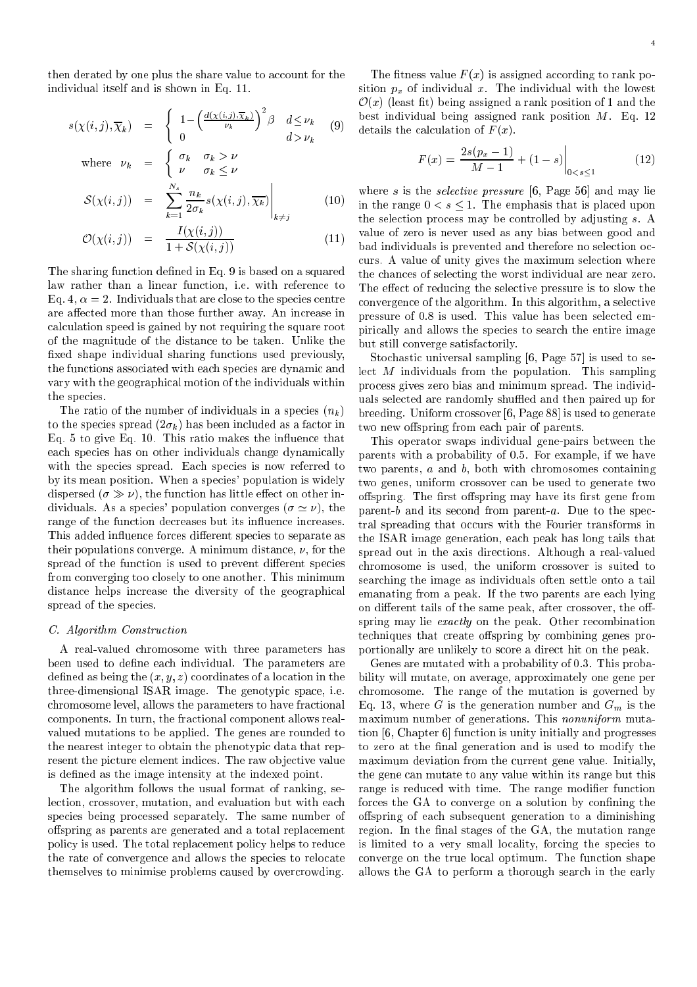then derated by one plus the share value to account for the individual itself and is shown in Eq. 11.

. .

$$
s(\chi(i,j),\overline{\chi}_k) = \begin{cases} 1 - \left(\frac{d(\chi(i,j),\overline{\chi}_k)}{\nu_k}\right)^2 \beta & d \leq \nu_k \\ 0 & d > \nu_k \end{cases} \quad (9)
$$

where  $k = k$  $k = k + k + k$ k

$$
\mathcal{S}(\chi(i,j)) = \sum_{k=1}^{N_s} \frac{n_k}{2\sigma_k} s(\chi(i,j), \overline{\chi_k}) \Big|_{k \neq j} \tag{10}
$$

$$
\mathcal{O}(\chi(i,j)) = \frac{I(\chi(i,j))}{1 + \mathcal{S}(\chi(i,j))} \tag{11}
$$

The sharing function defined in Eq. 9 is based on a squared law rather than a linear function, i.e. with reference to Eq. 4,  $\alpha = 2$ . Individuals that are close to the species centre are affected more than those further away. An increase in calculation speed is gained by not requiring the square root of the magnitude of the distance to be taken. Unlike the fixed shape individual sharing functions used previously. the functions associated with each species are dynamic and vary with the geographical motion of the individuals within the species.

The ratio of the number of individuals in a species  $(n_k)$ to the species spread  $(2\sigma_k)$  has been included as a factor in Eq. 5 to give Eq. 10. This ratio makes the influence that each species has on other individuals change dynamically with the species spread. Each species is now referred to by its mean position. When a species' population is widely dispersed  $(\sigma \gg \nu)$ , the function has little effect on other individuals. As a species' population converges  $(\sigma \simeq \nu)$ , the range of the function decreases but its influence increases. This added influence forces different species to separate as their populations converge. A minimum distance,  $\nu$ , for the spread of the function is used to prevent different species from converging too closely to one another. This minimum distance helps increase the diversity of the geographical spread of the species.

#### C. Algorithm Construction

A real-valued chromosome with three parameters has been used to define each individual. The parameters are defined as being the  $(x, y, z)$  coordinates of a location in the three-dimensional ISAR image. The genotypic space, i.e. chromosome level, allows the parameters to have fractional components. In turn, the fractional component allows realvalued mutations to be applied. The genes are rounded to the nearest integer to obtain the phenotypic data that represent the picture element indices. The raw ob jective value is defined as the image intensity at the indexed point.

The algorithm follows the usual format of ranking, selection, crossover, mutation, and evaluation but with each species being processed separately. The same number of offspring as parents are generated and a total replacement policy is used. The total replacement policy helps to reduce the rate of convergence and allows the species to relocate themselves to minimise problems caused by overcrowding.

The fitness value  $F(x)$  is assigned according to rank position  $p_x$  of individual x. The individual with the lowest  $\mathcal{O}(x)$  (least fit) being assigned a rank position of 1 and the best individual being assigned rank position  $M$ . Eq. 12 details the calculation of  $F(x)$ .

$$
F(x) = \frac{2s(p_x - 1)}{M - 1} + (1 - s) \Big|_{0 < s \le 1} \tag{12}
$$

where s is the *selective pressure* [6, Page 56] and may lie in the range  $0 < s < 1$ . The emphasis that is placed upon the selection process may be controlled by adjusting s. A value of zero is never used as any bias between good and bad individuals is prevented and therefore no selection occurs. A value of unity gives the maximum selection where the chances of selecting the worst individual are near zero. The effect of reducing the selective pressure is to slow the convergence of the algorithm. In this algorithm, a selective pressure of 0:8 is used. This value has been selected empirically and allows the species to search the entire image but still converge satisfactorily.

Stochastic universal sampling [6, Page 57] is used to select <sup>M</sup> individuals from the population. This sampling process gives zero bias and minimum spread. The individuals selected are randomly shuffled and then paired up for breeding. Uniform crossover [6, Page 88] is used to generate two new offspring from each pair of parents.

This operator swaps individual gene-pairs between the parents with a probability of 0:5. For example, if we have two parents,  $a$  and  $b$ , both with chromosomes containing two genes, uniform crossover can be used to generate two offspring. The first offspring may have its first gene from parent-b and its second from parent-a. Due to the spectral spreading that occurs with the Fourier transforms in the ISAR image generation, each peak has long tails that spread out in the axis directions. Although a real-valued chromosome is used, the uniform crossover is suited to searching the image as individuals often settle onto a tail emanating from a peak. If the two parents are each lying on different tails of the same peak, after crossover, the offspring may lie exactly on the peak. Other recombination techniques that create offspring by combining genes proportionally are unlikely to score a direct hit on the peak.

Genes are mutated with a probability of 0.3. This probability will mutate, on average, approximately one gene per chromosome. The range of the mutation is governed by Eq. 13, where G is the generation number and  $G_m$  is the maximum number of generations. This *nonuniform* mutation [6, Chapter 6] function is unity initially and progresses to zero at the final generation and is used to modify the maximum deviation from the current gene value. Initially, the gene can mutate to any value within its range but this range is reduced with time. The range modifier function forces the GA to converge on a solution by confining the offspring of each subsequent generation to a diminishing region. In the final stages of the GA, the mutation range is limited to a very small locality, forcing the species to converge on the true local optimum. The function shape allows the GA to perform a thorough search in the early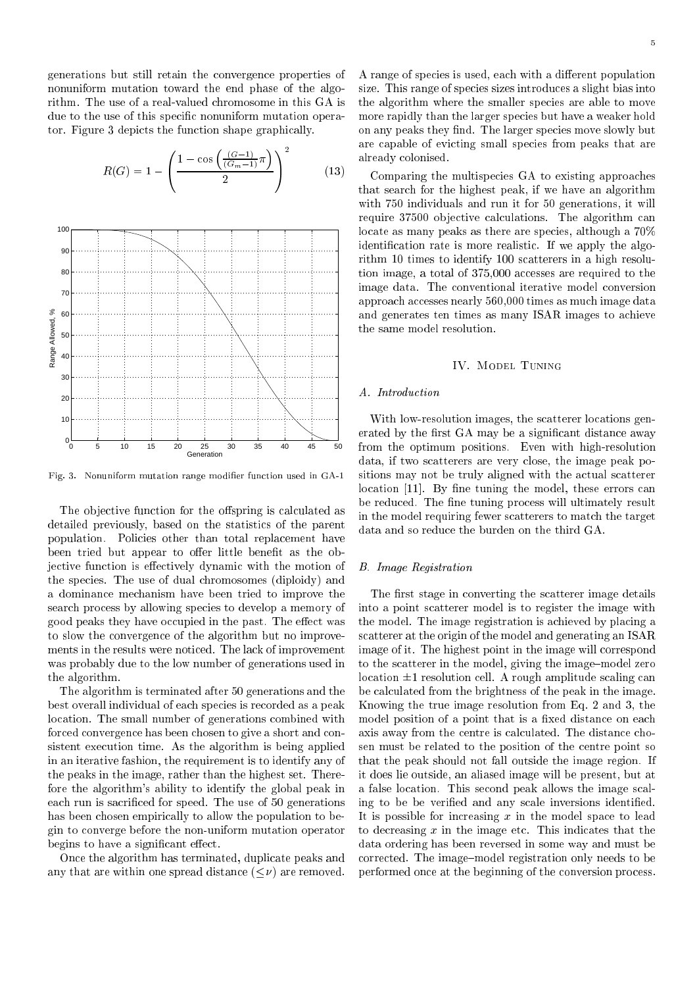generations but still retain the convergence properties of nonuniform mutation toward the end phase of the algorithm. The use of a real-valued chromosome in this GA is due to the use of this specific nonuniform mutation operator. Figure 3 depicts the function shape graphically.

$$
R(G) = 1 - \left(\frac{1 - \cos\left(\frac{(G-1)}{(G_m-1)}\pi\right)}{2}\right)^2 \tag{13}
$$



Fig. 3. Nonuniform mutation range modifier function used in GA-1

The objective function for the offspring is calculated as detailed previously, based on the statistics of the parent population. Policies other than total replacement have been tried but appear to offer little benefit as the objective function is effectively dynamic with the motion of the species. The use of dual chromosomes (diploidy) and a dominance mechanism have been tried to improve the search process by allowing species to develop a memory of good peaks they have occupied in the past. The effect was to slow the convergence of the algorithm but no improvements in the results were noticed. The lack of improvement was probably due to the low number of generations used in the algorithm.

The algorithm is terminated after 50 generations and the best overall individual of each species is recorded as a peak location. The small number of generations combined with forced convergence has been chosen to give a short and consistent execution time. As the algorithm is being applied in an iterative fashion, the requirement is to identify any of the peaks in the image, rather than the highest set. Therefore the algorithm's ability to identify the global peak in each run is sacriced for speed. The use of 50 generations has been chosen empirically to allow the population to begin to converge before the non-uniform mutation operator begins to have a significant effect.

Once the algorithm has terminated, duplicate peaks and any that are within one spread distance  $( $\nu$ )$  are removed. A range of species is used, each with a different population size. This range of species sizes introduces a slight bias into the algorithm where the smaller species are able to move more rapidly than the larger species but have a weaker hold on any peaks they find. The larger species move slowly but are capable of evicting small species from peaks that are already colonised.

Comparing the multispecies GA to existing approaches that search for the highest peak, if we have an algorithm with 750 individuals and run it for 50 generations, it will require 37500 objective calculations. The algorithm can locate as many peaks as there are species, although a 70% identification rate is more realistic. If we apply the algorithm 10 times to identify 100 scatterers in a high resolution image, a total of 375,000 accesses are required to the image data. The conventional iterative model conversion approach accesses nearly 560,000 times as much image data and generates ten times as many ISAR images to achieve the same model resolution.

## IV. Model Tuning

## A. Introduction

With low-resolution images, the scatterer locations generated by the first GA may be a significant distance away from the optimum positions. Even with high-resolution data, if two scatterers are very close, the image peak positions may not be truly aligned with the actual scatterer  $location [11]$ . By fine tuning the model, these errors can be reduced. The fine tuning process will ultimately result in the model requiring fewer scatterers to match the target data and so reduce the burden on the third GA.

#### B. Image Registration

The first stage in converting the scatterer image details into a point scatterer model is to register the image with the model. The image registration is achieved by placing a scatterer at the origin of the model and generating an ISAR image of it. The highest point in the image will correspond to the scatterer in the model, giving the image-model zero location  $\pm 1$  resolution cell. A rough amplitude scaling can be calculated from the brightness of the peak in the image. Knowing the true image resolution from Eq. 2 and 3, the model position of a point that is a fixed distance on each axis away from the centre is calculated. The distance chosen must be related to the position of the centre point so that the peak should not fall outside the image region. If it does lie outside, an aliased image will be present, but at a false location. This second peak allows the image scaling to be be verified and any scale inversions identified. It is possible for increasing  $x$  in the model space to lead to decreasing  $x$  in the image etc. This indicates that the data ordering has been reversed in some way and must be corrected. The image-model registration only needs to be performed once at the beginning of the conversion process.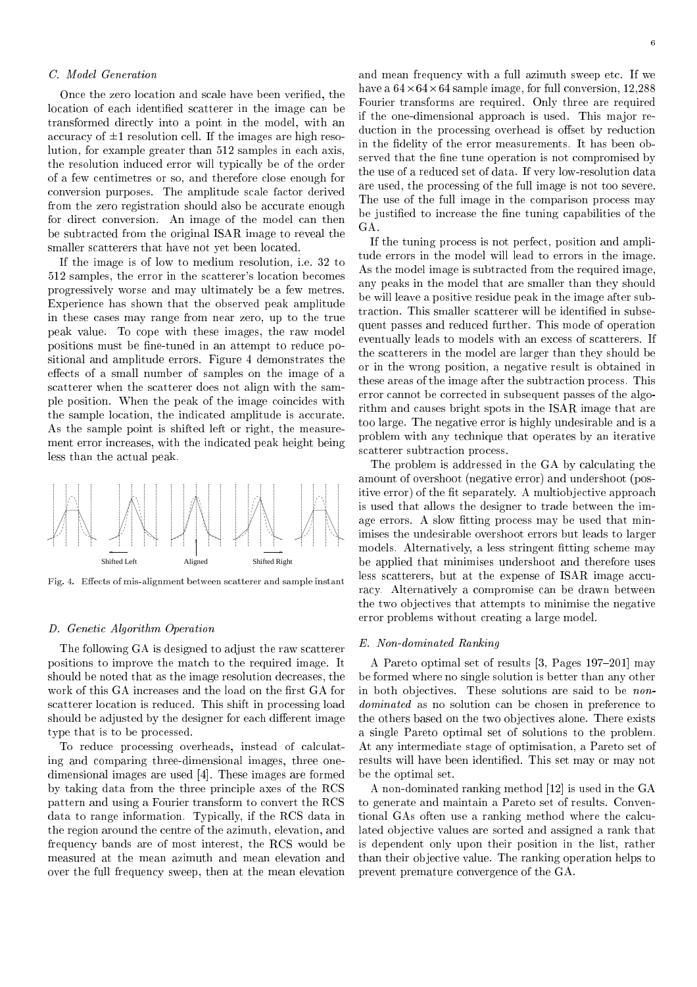#### C. Model Generation

Once the zero location and scale have been veried, the location of each identified scatterer in the image can be transformed directly into a point in the model, with an accuracy of  $\pm 1$  resolution cell. If the images are high resolution, for example greater than 512 samples in each axis, the resolution induced error will typically be of the order of a few centimetres or so, and therefore close enough for conversion purposes. The amplitude scale factor derived from the zero registration should also be accurate enough for direct conversion. An image of the model can then be subtracted from the original ISAR image to reveal the smaller scatterers that have not yet been located.

If the image is of low to medium resolution, i.e. 32 to 512 samples, the error in the scatterer's location becomes progressively worse and may ultimately be a few metres. Experience has shown that the observed peak amplitude in these cases may range from near zero, up to the true peak value. To cope with these images, the raw model positions must be fine-tuned in an attempt to reduce positional and amplitude errors. Figure 4 demonstrates the effects of a small number of samples on the image of a scatterer when the scatterer does not align with the sample position. When the peak of the image coincides with the sample location, the indicated amplitude is accurate. As the sample point is shifted left or right, the measurement error increases, with the indicated peak height being less than the actual peak.



Fig. 4. Effects of mis-alignment between scatterer and sample instant

## D. Genetic Algorithm Operation

The following GA is designed to adjust the raw scatterer positions to improve the match to the required image. It should be noted that as the image resolution decreases, the work of this GA increases and the load on the first GA for scatterer location is reduced. This shift in processing load should be adjusted by the designer for each different image type that is to be processed.

To reduce processing overheads, instead of calculating and comparing three-dimensional images, three onedimensional images are used [4]. These images are formed by taking data from the three principle axes of the RCS pattern and using a Fourier transform to convert the RCS data to range information. Typically, if the RCS data in the region around the centre of the azimuth, elevation, and frequency bands are of most interest, the RCS would be measured at the mean azimuth and mean elevation and over the full frequency sweep, then at the mean elevation and mean frequency with a full azimuth sweep etc. If we have a 64-64-64 sample image, for full conversion, 12,288 Fourier transforms are required. Only three are required if the one-dimensional approach is used. This major reduction in the processing overhead is offset by reduction in the fidelity of the error measurements. It has been observed that the fine tune operation is not compromised by the use of a reduced set of data. If very low-resolution data are used, the processing of the full image is not too severe. The use of the full image in the comparison process may be justified to increase the fine tuning capabilities of the GA.

If the tuning process is not perfect, position and amplitude errors in the model will lead to errors in the image. As the model image is subtracted from the required image, any peaks in the model that are smaller than they should be will leave a positive residue peak in the image after subtraction. This smaller scatterer will be identified in subsequent passes and reduced further. This mode of operation eventually leads to models with an excess of scatterers. If the scatterers in the model are larger than they should be or in the wrong position, a negative result is obtained in these areas of the image after the subtraction process. This error cannot be corrected in subsequent passes of the algorithm and causes bright spots in the ISAR image that are too large. The negative error is highly undesirable and is a problem with any technique that operates by an iterative scatterer subtraction process.

The problem is addressed in the GA by calculating the amount of overshoot (negative error) and undershoot (positive error) of the fit separately. A multiobjective approach is used that allows the designer to trade between the image errors. A slow fitting process may be used that minimises the undesirable overshoot errors but leads to larger models. Alternatively, a less stringent fitting scheme may be applied that minimises undershoot and therefore uses less scatterers, but at the expense of ISAR image accuracy. Alternatively a compromise can be drawn between the two objectives that attempts to minimise the negative error problems without creating a large model.

#### E. Non-dominated Ranking

A Pareto optimal set of results  $[3,$  Pages 197-201] may be formed where no single solution is better than any other in both objectives. These solutions are said to be *non*dominated as no solution can be chosen in preference to the others based on the two objectives alone. There exists a single Pareto optimal set of solutions to the problem. At any intermediate stage of optimisation, a Pareto set of results will have been identied. This set may or may not be the optimal set.

A non-dominated ranking method [12] is used in the GA to generate and maintain a Pareto set of results. Conventional GAs often use a ranking method where the calculated objective values are sorted and assigned a rank that is dependent only upon their position in the list, rather than their ob jective value. The ranking operation helps to prevent premature convergence of the GA.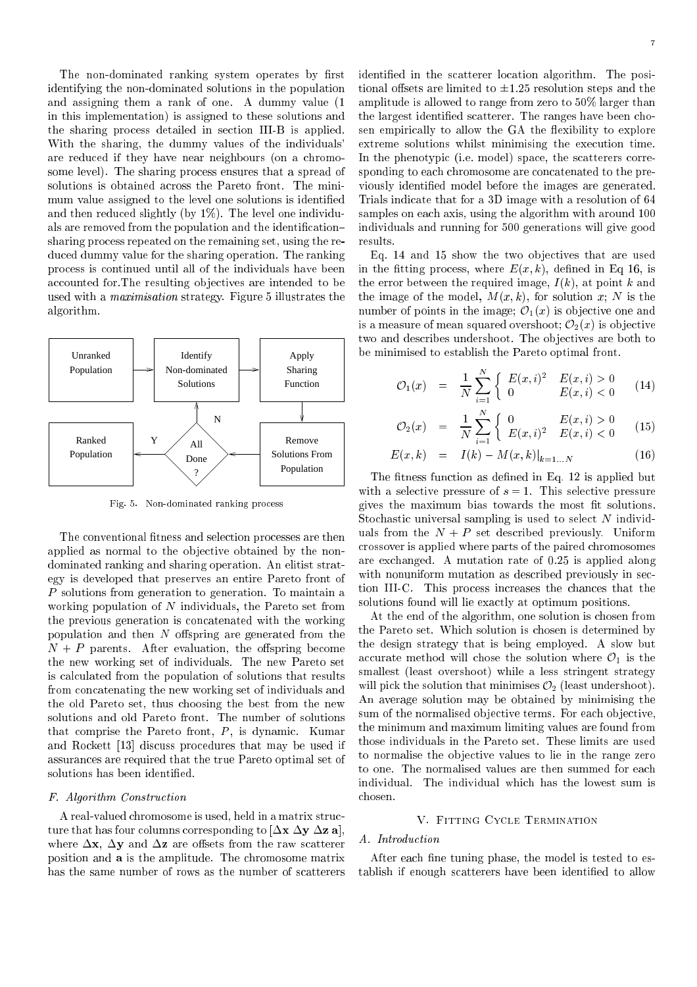The non-dominated ranking system operates by first identifying the non-dominated solutions in the population and assigning them a rank of one. A dummy value (1 in this implementation) is assigned to these solutions and the sharing process detailed in section III-B is applied. With the sharing, the dummy values of the individuals' are reduced if they have near neighbours (on a chromosome level). The sharing process ensures that a spread of solutions is obtained across the Pareto front. The minimum value assigned to the level one solutions is identified and then reduced slightly (by  $1\%$ ). The level one individuals are removed from the population and the identificationsharing process repeated on the remaining set, using the reduced dummy value for the sharing operation. The ranking process is continued until all of the individuals have been accounted for.The resulting ob jectives are intended to be used with a maximisation strategy. Figure 5 illustrates the algorithm.



Fig. 5. Non-dominated ranking process

The conventional fitness and selection processes are then applied as normal to the objective obtained by the nondominated ranking and sharing operation. An elitist strategy is developed that preserves an entire Pareto front of <sup>P</sup> solutions from generation to generation. To maintain a working population of  $N$  individuals, the Pareto set from the previous generation is concatenated with the working population and then  $N$  offspring are generated from the  $N + P$  parents. After evaluation, the offspring become the new working set of individuals. The new Pareto set is calculated from the population of solutions that results from concatenating the new working set of individuals and the old Pareto set, thus choosing the best from the new solutions and old Pareto front. The number of solutions that comprise the Pareto front,  $P$ , is dynamic. Kumar and Rockett [13] discuss procedures that may be used if assurances are required that the true Pareto optimal set of solutions has been identified.

#### F. Algorithm Construction

A real-valued chromosome is used, held in a matrix structure that has four columns corresponding to  $[\Delta \mathbf{x} \ \Delta \mathbf{y} \ \Delta \mathbf{z} \ \mathbf{a}]$ , where  $\Delta x$ ,  $\Delta y$  and  $\Delta z$  are offsets from the raw scatterer position and <sup>a</sup> is the amplitude. The chromosome matrix has the same number of rows as the number of scatterers

identied in the scatterer location algorithm. The positional offsets are limited to  $\pm 1.25$  resolution steps and the amplitude is allowed to range from zero to 50% larger than the largest identied scatterer. The ranges have been chosen empirically to allow the GA the flexibility to explore extreme solutions whilst minimising the execution time. In the phenotypic (i.e. model) space, the scatterers corresponding to each chromosome are concatenated to the previously identied model before the images are generated. Trials indicate that for a 3D image with a resolution of 64 samples on each axis, using the algorithm with around 100 individuals and running for 500 generations will give good results.

Eq. 14 and 15 show the two objectives that are used in the fitting process, where  $E(x, k)$ , defined in Eq 16, is the error between the required image,  $I(k)$ , at point k and the image of the model,  $M(x, k)$ , for solution x; N is the number of points in the image;  $\mathcal{O}_1(x)$  is objective one and is a measure of mean squared overshoot;  $\mathcal{O}_2(x)$  is objective two and describes undershoot. The objectives are both to be minimised to establish the Pareto optimal front.

$$
\mathcal{O}_1(x) = \frac{1}{N} \sum_{i=1}^N \left\{ \begin{array}{ll} E(x,i)^2 & E(x,i) > 0 \\ 0 & E(x,i) < 0 \end{array} \right. \tag{14}
$$

$$
\mathcal{O}_2(x) = \frac{1}{N} \sum_{i=1}^N \begin{cases} 0 & E(x,i) > 0 \\ E(x,i)^2 & E(x,i) < 0 \end{cases} \tag{15}
$$

$$
E(x,k) = I(k) - M(x,k)|_{k=1...N}
$$
 (16)

The fitness function as defined in Eq. 12 is applied but with a selective pressure of  $s = 1$ . This selective pressure gives the maximum bias towards the most fit solutions. Stochastic universal sampling is used to select N individuals from the  $N + P$  set described previously. Uniform crossover is applied where parts of the paired chromosomes are exchanged. A mutation rate of 0.25 is applied along with nonuniform mutation as described previously in section III-C. This process increases the chances that the solutions found will lie exactly at optimum positions.

At the end of the algorithm, one solution is chosen from the Pareto set. Which solution is chosen is determined by the design strategy that is being employed. A slow but accurate method will chose the solution where  $\mathcal{O}_1$  is the smallest (least overshoot) while a less stringent strategy will pick the solution that minimises  $\mathcal{O}_2$  (least undershoot). An average solution may be obtained by minimising the sum of the normalised objective terms. For each objective, the minimum and maximum limiting values are found from those individuals in the Pareto set. These limits are used to normalise the objective values to lie in the range zero to one. The normalised values are then summed for each individual. The individual which has the lowest sum is chosen.

## V. Fitting Cycle Termination

## A. Introduction

After each fine tuning phase, the model is tested to establish if enough scatterers have been identified to allow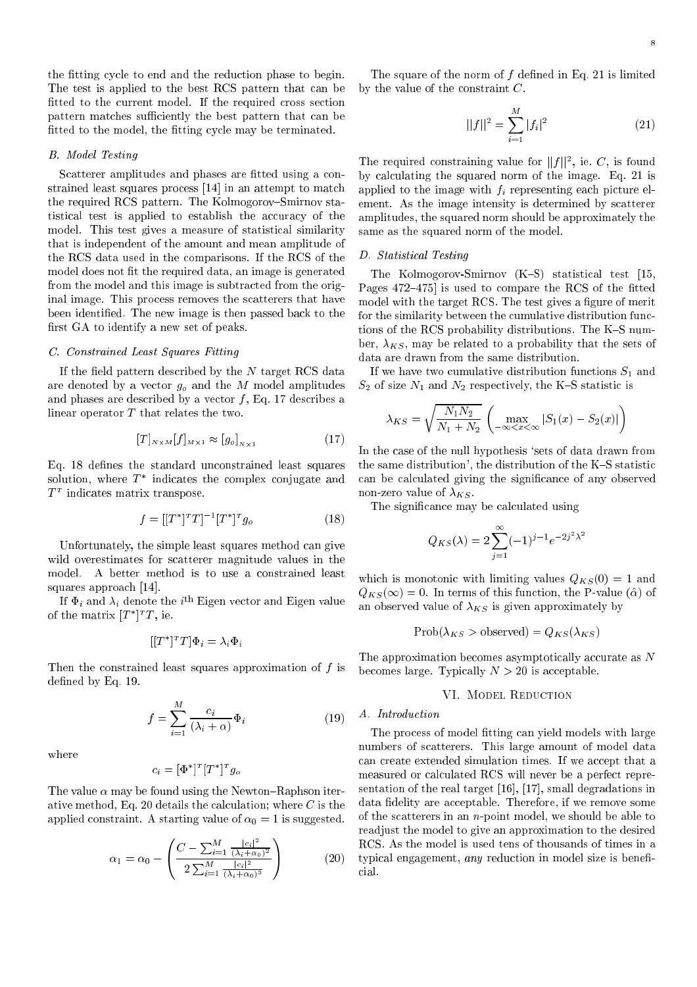the fitting cycle to end and the reduction phase to begin. The test is applied to the best RCS pattern that can be fitted to the current model. If the required cross section pattern matches sufficiently the best pattern that can be fitted to the model, the fitting cycle may be terminated.

## B. Model Testing

Scatterer amplitudes and phases are fitted using a constrained least squares process [14] in an attempt to match the required RCS pattern. The Kolmogorov-Smirnov statistical test is applied to establish the accuracy of the model. This test gives a measure of statistical similarity that is independent of the amount and mean amplitude of the RCS data used in the comparisons. If the RCS of the model does not fit the required data, an image is generated from the model and this image is subtracted from the original image. This process removes the scatterers that have been identied. The new image is then passed back to the first GA to identify a new set of peaks.

#### C. Constrained Least Squares Fitting

If the field pattern described by the  $N$  target RCS data are denoted by a vector  $g<sub>o</sub>$  and the M model amplitudes and phases are described by a vector  $f$ , Eq. 17 describes a linear operator <sup>T</sup> that relates the two.

$$
[T]_{N \times M} [f]_{M \times 1} \approx [g_o]_{N \times 1} \tag{17}
$$

Eq. 18 defines the standard unconstrained least squares solution, where  $I$  indicates the complex conjugate and I Thuicates matrix transpose.

$$
f = [[T^*]^T T]^{-1} [T^*]^T g_o \tag{18}
$$

Unfortunately, the simple least squares method can give wild overestimates for scatterer magnitude values in the model. A better method is to use a constrained least squares approach [14].

 $\mathbf{u}$   $\mathbf{v}_i$  and  $\mathbf{v}_i$  denote the  $i$  Eigen vector and Eigen value of the matrix  $\|I\| \leq I$ , ie.

$$
[[T^*]^T T] \Phi_i = \lambda_i \Phi_i
$$

Then the constrained least squares approximation of <sup>f</sup> is defined by Eq. 19.

$$
f = \sum_{i=1}^{M} \frac{c_i}{(\lambda_i + \alpha)} \Phi_i
$$
 (19)

where

$$
c_i = [\Phi^*]^T [T^*]^T g_o
$$

The value  $\alpha$  may be found using the Newton-Raphson iterative method, Eq. 20 details the calculation; where  $C$  is the applied constraint. A starting value of  $\alpha_0 = 1$  is suggested.

$$
\alpha_1 = \alpha_0 - \left( \frac{C - \sum_{i=1}^{M} \frac{|c_i|^2}{(\lambda_i + \alpha_0)^2}}{2 \sum_{i=1}^{M} \frac{|c_i|^2}{(\lambda_i + \alpha_0)^3}} \right)
$$
(20)

The square of the norm of  $f$  defined in Eq. 21 is limited by the value of the constraint C.

$$
||f||^2 = \sum_{i=1}^{M} |f_i|^2
$$
 (21)

I he required constraining value for  $||f||$ , ie. C, is found by calculating the squared norm of the image. Eq. 21 is applied to the image with  $f_i$  representing each picture element. As the image intensity is determined by scatterer amplitudes, the squared norm should be approximately the same as the squared norm of the model.

## D. Statistical Testing

The Kolmogorov-Smirnov  $(K-S)$  statistical test [15, Pages  $472-475$ ] is used to compare the RCS of the fitted model with the target RCS. The test gives a figure of merit for the similarity between the cumulative distribution functions of the RCS probability distributions. The K-S number,  $\lambda_{KS}$ , may be related to a probability that the sets of data are drawn from the same distribution.

If we have two cumulative distribution functions  $S_1$  and  $S_2$  of size  $N_1$  and  $N_2$  respectively, the K-S statistic is

$$
\lambda_{KS} = \sqrt{\frac{N_1 N_2}{N_1 + N_2}} \left( \max_{-\infty < x < \infty} |S_1(x) - S_2(x)| \right)
$$

In the case of the null hypothesis 'sets of data drawn from the same distribution', the distribution of the  $K-S$  statistic can be calculated giving the signicance of any observed non-zero value of  $\lambda_{KS}$ .

The signicance may be calculated using

$$
Q_{KS}(\lambda) = 2 \sum_{j=1}^{\infty} (-1)^{j-1} e^{-2j^2 \lambda^2}
$$

which is monotonic with limiting values  $Q_{KS}(0) = 1$  and  $Q_{KS}(\infty) = 0$ . In terms of this function, the P-value ( $\hat{\alpha}$ ) of an observed value of  $\lambda_{KS}$  is given approximately by

$$
Prob(\lambda_{KS} > \text{observed}) = Q_{KS}(\lambda_{KS})
$$

The approximation becomes asymptotically accurate as <sup>N</sup> becomes large. Typically  $N > 20$  is acceptable.

## VI. Model Reduction

## A. Introduction

The process of model fitting can yield models with large numbers of scatterers. This large amount of model data can create extended simulation times. If we accept that a measured or calculated RCS will never be a perfect representation of the real target [16], [17], small degradations in data fidelity are acceptable. Therefore, if we remove some of the scatterers in an  $n$ -point model, we should be able to readjust the model to give an approximation to the desired RCS. As the model is used tens of thousands of times in a typical engagement,  $any$  reduction in model size is beneficial.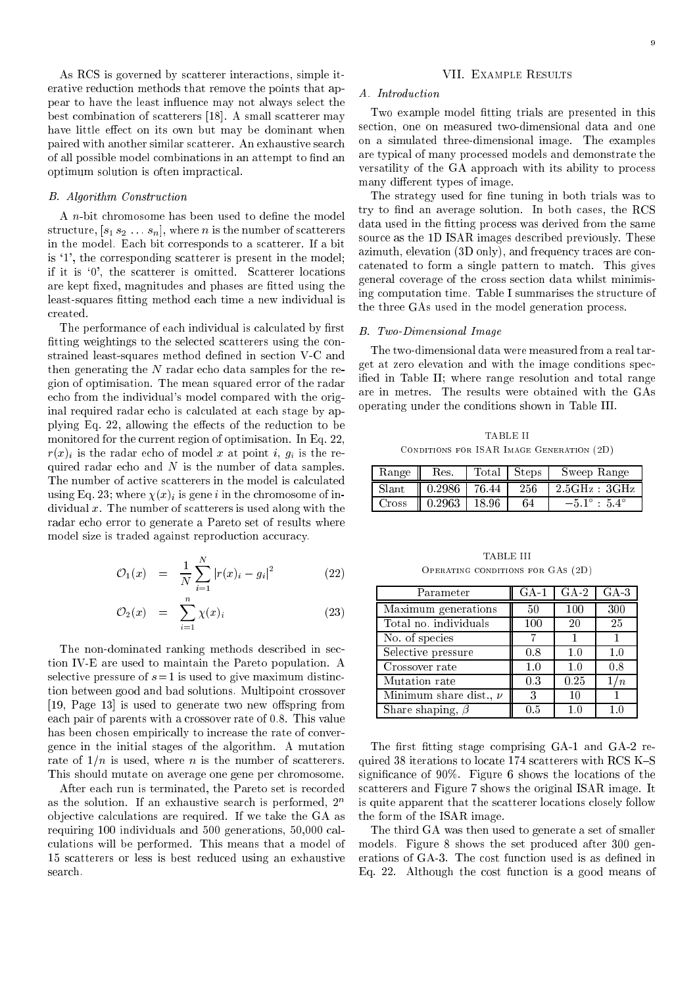As RCS is governed by scatterer interactions, simple iterative reduction methods that remove the points that appear to have the least in
uence may not always select the best combination of scatterers [18]. A small scatterer may have little effect on its own but may be dominant when paired with another similar scatterer. An exhaustive search of all possible model combinations in an attempt to find an optimum solution is often impractical.

#### B. Algorithm Construction

A  $n$ -bit chromosome has been used to define the model structure,  $[s_1 s_2 \ldots s_n]$ , where *n* is the number of scatterers in the model. Each bit corresponds to a scatterer. If a bit is '1', the corresponding scatterer is present in the model; if it is `0', the scatterer is omitted. Scatterer locations are kept fixed, magnitudes and phases are fitted using the least-squares fitting method each time a new individual is created.

The performance of each individual is calculated by first fitting weightings to the selected scatterers using the constrained least-squares method defined in section V-C and then generating the  $N$  radar echo data samples for the region of optimisation. The mean squared error of the radar echo from the individual's model compared with the original required radar echo is calculated at each stage by applying Eq. 22, allowing the effects of the reduction to be monitored for the current region of optimisation. In Eq. 22,  $r(x)_i$  is the radar echo of model x at point i,  $g_i$  is the required radar echo and  $N$  is the number of data samples. The number of active scatterers in the model is calculated using Eq. 23; where  $\chi(x)_i$  is gene i in the chromosome of individual  $x$ . The number of scatterers is used along with the radar echo error to generate a Pareto set of results where model size is traded against reproduction accuracy.

$$
\mathcal{O}_1(x) = \frac{1}{N} \sum_{i=1}^{N} |r(x)_i - g_i|^2 \tag{22}
$$

$$
\mathcal{O}_2(x) = \sum_{i=1}^n \chi(x)_i \tag{23}
$$

The non-dominated ranking methods described in section IV-E are used to maintain the Pareto population. A selective pressure of  $s = 1$  is used to give maximum distinction between good and bad solutions. Multipoint crossover  $[19, Page 13]$  is used to generate two new offspring from each pair of parents with a crossover rate of 0:8. This value has been chosen empirically to increase the rate of convergence in the initial stages of the algorithm. A mutation rate of  $1/n$  is used, where n is the number of scatterers. This should mutate on average one gene per chromosome.

After each run is terminated, the Pareto set is recorded as the solution. If an exhaustive search is performed,  $2^n$ ob jective calculations are required. If we take the GA as requiring 100 individuals and 500 generations, 50,000 calculations will be performed. This means that a model of 15 scatterers or less is best reduced using an exhaustive search.

## VII. Example Results

#### A. Introduction

Two example model fitting trials are presented in this section, one on measured two-dimensional data and one on a simulated three-dimensional image. The examples are typical of many processed models and demonstrate the versatility of the GA approach with its ability to process many different types of image.

The strategy used for fine tuning in both trials was to try to find an average solution. In both cases, the RCS data used in the fitting process was derived from the same source as the 1D ISAR images described previously. These azimuth, elevation (3D only), and frequency traces are concatenated to form a single pattern to match. This gives general coverage of the cross section data whilst minimising computation time. Table I summarises the structure of the three GAs used in the model generation process.

## B. Two-Dimensional Image

The two-dimensional data were measured from a real target at zero elevation and with the image conditions specified in Table II; where range resolution and total range are in metres. The results were obtained with the GAs operating under the conditions shown in Table III.

**TABLE II** Conditions for ISAR Image Generation (2D)

| Range $\parallel$ Res. |                                            | Total   Steps |       | Sweep Range         |
|------------------------|--------------------------------------------|---------------|-------|---------------------|
|                        | $\overline{\text{Slant}}$   0.2986   76.44 |               | - 256 | $12.5GHz \div 3GHz$ |
| Cross                  | $\parallel$ 0.2963                         | 18.96         | 64    | $-5.1^{\circ}$ 5.4° |

TABLE III Operating conditions for GAs (2D)

| Parameter                  | $GA-1$ | $GA-2$ | $GA-3$ |
|----------------------------|--------|--------|--------|
| Maximum generations        | 50     | 100    | 300    |
| Total no. individuals      | 100    | 20     | 25     |
| No. of species             |        |        |        |
| Selective pressure         | 0.8    | 1.0    | 1.0    |
| Crossover rate             | 1.0    | 1.0    | 0.8    |
| Mutation rate              | 0.3    | 0.25   | 1/n    |
| Minimum share dist., $\nu$ | 3      | 10     |        |
| Share shaping, $\beta$     | 0.5    | 1.0    |        |

The first fitting stage comprising  $GA-1$  and  $GA-2$  required 38 iterations to locate 174 scatterers with RCS K $-$ S signicance of 90%. Figure 6 shows the locations of the scatterers and Figure 7 shows the original ISAR image. It is quite apparent that the scatterer locations closely follow the form of the ISAR image.

The third GA was then used to generate a set of smaller models. Figure 8 shows the set produced after 300 generations of GA-3. The cost function used is as defined in Eq. 22. Although the cost function is a good means of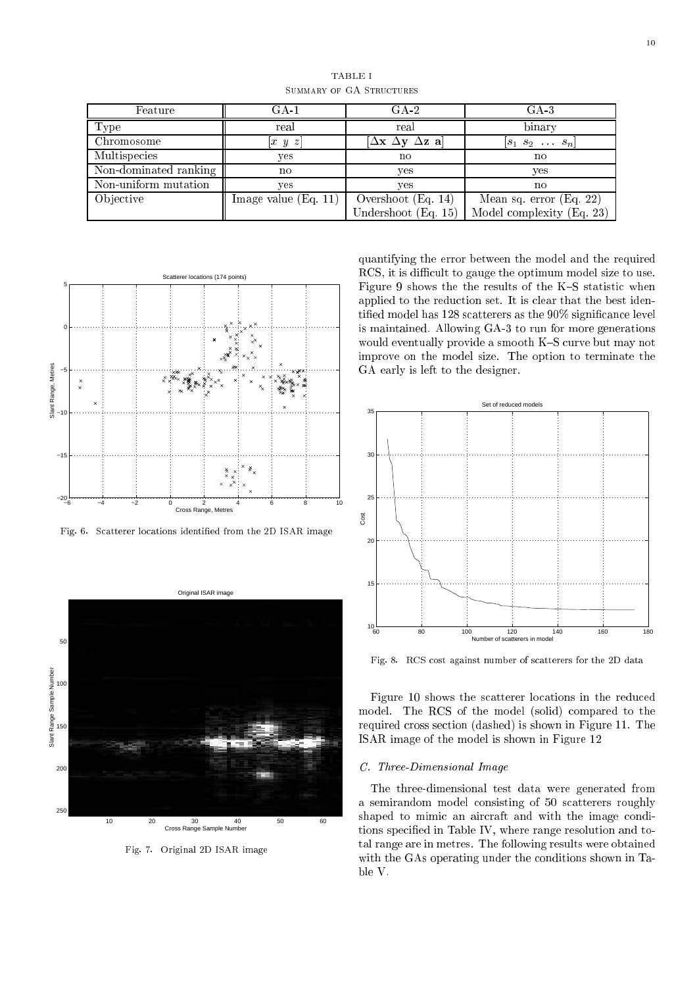TABLE I Summary of GA Structures

| Feature               | GA-1                   | $GA-2$                         | GA 3                                                     |  |
|-----------------------|------------------------|--------------------------------|----------------------------------------------------------|--|
| Type                  | real                   | real                           | binary                                                   |  |
| Chromosome            | $x \, y \, z$          | $\Delta x \Delta y \Delta z$ a | $\begin{bmatrix} s_1 & s_2 & \ldots & s_n \end{bmatrix}$ |  |
| Multispecies          | yes                    | no                             | no                                                       |  |
| Non-dominated ranking | no.                    | yes                            | yes                                                      |  |
| Non-uniform mutation  | ves                    | yes                            | no                                                       |  |
| Objective             | Image value $(Eq. 11)$ | Overshoot $(Eq. 14)$           | Mean sq. error $(Eq. 22)$                                |  |
|                       |                        | Undershoot (Eq. 15)            | Model complexity (Eq. 23)                                |  |



Fig. 6. Scatterer locations identied from the 2D ISAR image



Fig. 7. Original 2D ISAR image

quantifying the error between the model and the required RCS, it is difficult to gauge the optimum model size to use. Figure 9 shows the the results of the K $-S$  statistic when applied to the reduction set. It is clear that the best identified model has 128 scatterers as the 90% significance level is maintained. Allowing GA-3 to run for more generations would eventually provide a smooth K-S curve but may not improve on the model size. The option to terminate the GA early is left to the designer.



Fig. 8. RCS cost against number of scatterers for the 2D data

Figure 10 shows the scatterer locations in the reduced model. The RCS of the model (solid) compared to the required cross section (dashed) is shown in Figure 11. The ISAR image of the model is shown in Figure 12

## C. Three-Dimensional Image

The three-dimensional test data were generated from a semirandom model consisting of 50 scatterers roughly shaped to mimic an aircraft and with the image conditions specied in Table IV, where range resolution and total range are in metres. The following results were obtained with the GAs operating under the conditions shown in Table V.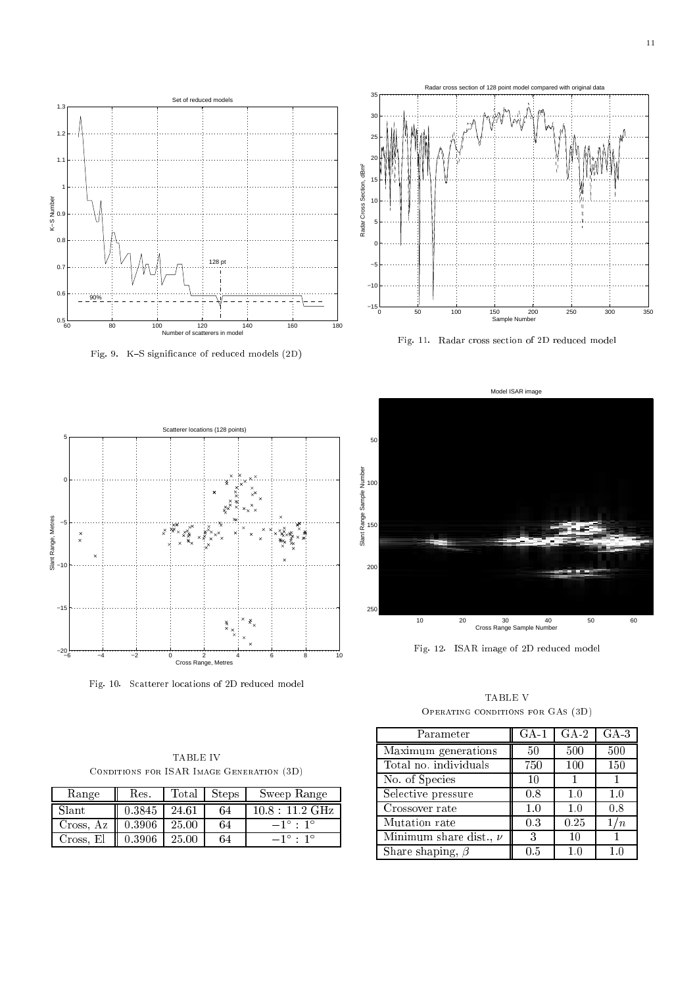

Fig. 9. K-S significance of reduced models  $(2D)$ 



Fig. 10. Scatterer locations of 2D reduced model

TABLE IV Conditions for ISAR Image Generation (3D)

| Range     | Res.      | Total | <b>Steps</b> | Sweep Range               |
|-----------|-----------|-------|--------------|---------------------------|
| Slant     | ll 0.3845 | 24.61 | 64           | $10.8:11.2 \text{ GHz}$   |
| Cross, Az | 0.3906    | 25.00 | 64           | $-1^\circ \cdot 1^\circ$  |
| Cross, El | 0.3906    | 25.00 | 64           | $-1^\circ$ 1 <sup>o</sup> |



Fig. 11. Radar cross section of 2D reduced model



Fig. 12. ISAR image of 2D reduced model

TABLE V Operating conditions for GAs (3D)

| Parameter                  | $GA-1$ | GA <sub>2</sub> | $GA-3$ |
|----------------------------|--------|-----------------|--------|
| Maximum generations        | 50     | 500             | 500    |
| Total no. individuals      | 750    | 100             | 150    |
| No. of Species             | 10     |                 |        |
| Selective pressure         | 0.8    | 1.0             | 1.0    |
| Crossover rate             | 1.0    | 1.0             | 0.8    |
| Mutation rate              | 0.3    | 0.25            | /n     |
| Minimum share dist., $\nu$ | 3      | 10              |        |
| Share shaping, $\beta$     | 0.5    | 1.0             | 1.0    |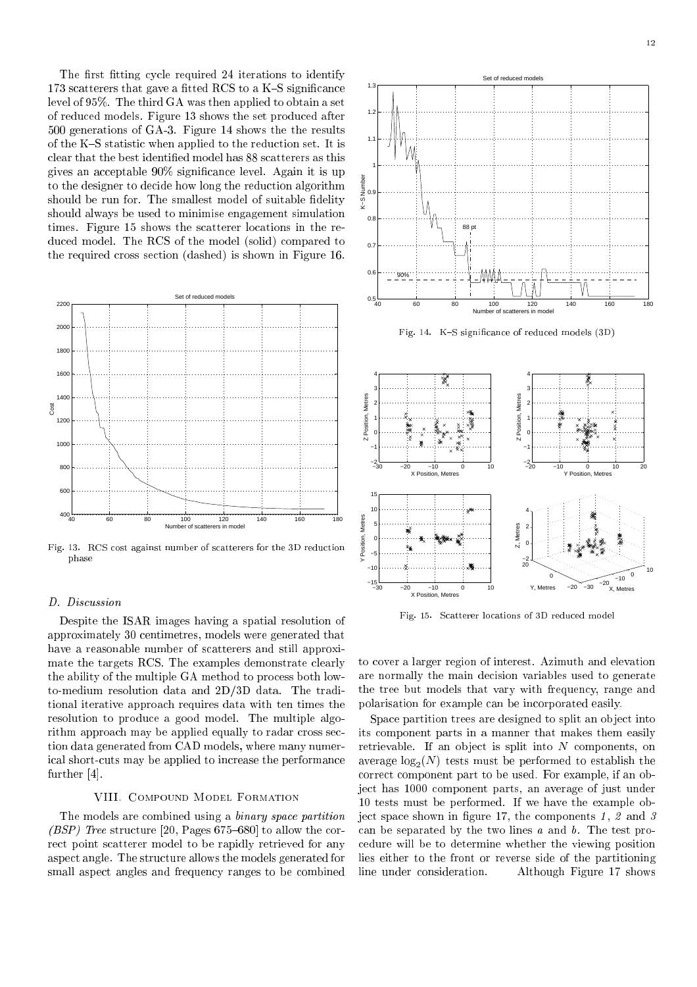The first fitting cycle required 24 iterations to identify 173 scatterers that gave a fitted RCS to a K-S significance level of 95%. The third GA was then applied to obtain a set of reduced models. Figure 13 shows the set produced after 500 generations of GA-3. Figure 14 shows the the results of the  $K-S$  statistic when applied to the reduction set. It is clear that the best identied model has 88 scatterers as this gives an acceptable 90% signicance level. Again it is up to the designer to decide how long the reduction algorithm should be run for. The smallest model of suitable fidelity should always be used to minimise engagement simulation times. Figure 15 shows the scatterer locations in the reduced model. The RCS of the model (solid) compared to the required cross section (dashed) is shown in Figure 16.



Fig. 13. RCS cost against number of scatterers for the 3D reduction phase

#### D. Discussion

Despite the ISAR images having a spatial resolution of approximately 30 centimetres, models were generated that have a reasonable number of scatterers and still approximate the targets RCS. The examples demonstrate clearly the ability of the multiple GA method to process both lowto-medium resolution data and 2D/3D data. The traditional iterative approach requires data with ten times the resolution to produce a good model. The multiple algorithm approach may be applied equally to radar cross section data generated from CAD models, where many numerical short-cuts may be applied to increase the performance further [4].

## VIII. Compound Model Formation

The models are combined using a binary space partition (BSP) Tree structure [20, Pages  $675{-}680$ ] to allow the correct point scatterer model to be rapidly retrieved for any aspect angle. The structure allows the models generated for small aspect angles and frequency ranges to be combined



Fig. 14. K-S significance of reduced models  $(3D)$ 



Fig. 15. Scatterer locations of 3D reduced model

to cover a larger region of interest. Azimuth and elevation are normally the main decision variables used to generate the tree but models that vary with frequency, range and polarisation for example can be incorporated easily.

Space partition trees are designed to split an object into its component parts in a manner that makes them easily retrievable. If an object is split into  $N$  components, on average  $log_2(N)$  tests must be performed to establish the correct component part to be used. For example, if an object has 1000 component parts, an average of just under 10 tests must be performed. If we have the example object space shown in figure 17, the components 1, 2 and 3 can be separated by the two lines a and b. The test procedure will be to determine whether the viewing position lies either to the front or reverse side of the partitioning line under consideration. Although Figure 17 shows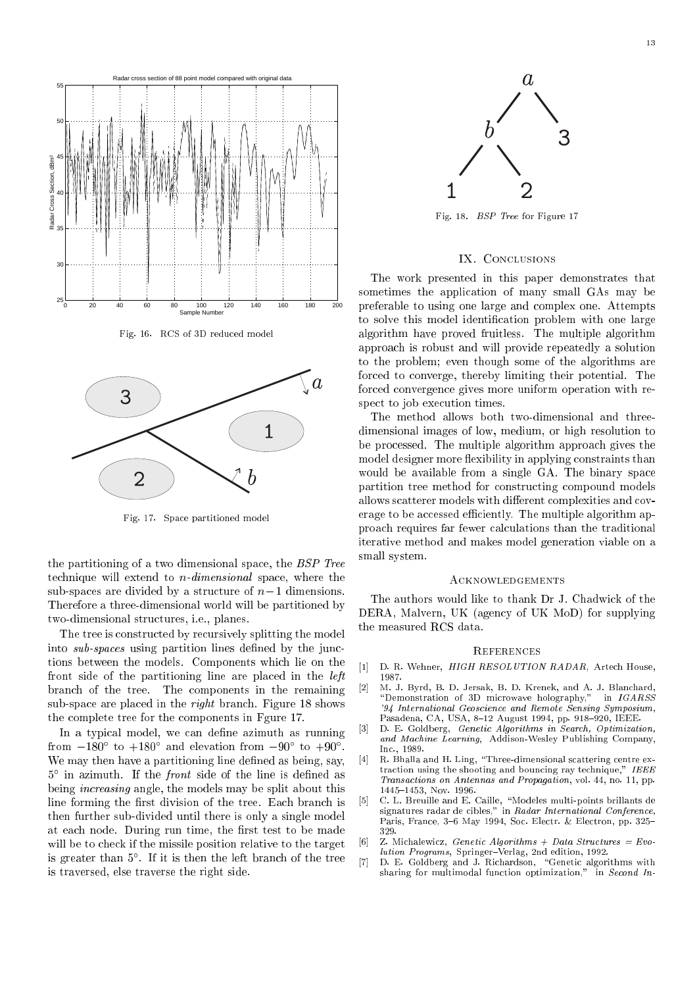

Fig. 16. RCS of 3D reduced model



Fig. 17. Space partitioned model

the partitioning of a two dimensional space, the BSP Tree technique will extend to n-dimensional space, where the sub-spaces are divided by a structure of  $n-1$  dimensions. Therefore a three-dimensional world will be partitioned by two-dimensional structures, i.e., planes.

The tree is constructed by recursively splitting the model into  $sub-spaces$  using partition lines defined by the junctions between the models. Components which lie on the front side of the partitioning line are placed in the left branch of the tree. The components in the remaining sub-space are placed in the right branch. Figure 18 shows the complete tree for the components in Fgure 17.

In a typical model, we can define azimuth as running  $t_{\rm I}$  and  $t_{\rm I}$  and elevation from  $-$ 90 to  $+$ 90 to We may then have a partitioning line defined as being, say,  $_9$  in azimuth. If the *front* side of the line is defined as being increasing angle, the models may be split about this line forming the first division of the tree. Each branch is then further sub-divided until there is only a single model at each node. During run time, the first test to be made will be to check if the missile position relative to the target is greater than 5 . If it is then the left branch of the tree is traversed, else traverse the right side.



Fig. 18. BSP Tree for Figure 17

#### IX. CONCLUSIONS

The work presented in this paper demonstrates that sometimes the application of many small GAs may be preferable to using one large and complex one. Attempts to solve this model identification problem with one large algorithm have proved fruitless. The multiple algorithm approach is robust and will provide repeatedly a solution to the problem; even though some of the algorithms are forced to converge, thereby limiting their potential. The forced convergence gives more uniform operation with respect to job execution times.

The method allows both two-dimensional and threedimensional images of low, medium, or high resolution to be processed. The multiple algorithm approach gives the model designer more flexibility in applying constraints than would be available from a single GA. The binary space partition tree method for constructing compound models allows scatterer models with different complexities and coverage to be accessed efficiently. The multiple algorithm approach requires far fewer calculations than the traditional iterative method and makes model generation viable on a small system.

#### **ACKNOWLEDGEMENTS**

The authors would like to thank Dr J. Chadwick of the DERA, Malvern, UK (agency of UK MoD) for supplying the measured RCS data.

#### References

- [1] D. R. Wehner, HIGH RESOLUTION RADAR, Artech House, 1987.
- [2] M. J. Byrd, B. D. Jersak, B. D. Krenek, and A. J. Blanchard, "Demonstration of 3D microwave holography," in  $IGARSS$ '94 International Geoscience and Remote Sensing Symposium, Pasadena, CA, USA, 8{12 August 1994, pp. 918{920, IEEE.
- $\overline{3}$  D. E. Goldberg, Genetic Algorithms in Search, Optimization, Optimization, Optimization, Optimization, Optimization, Optimization, Optimization, Optimization, Optimization, Optimization, Optimization, Optimization and Machine Learning, Addison-Wesley Publishing Company, Inc., 1989.
- [4] R. Bhalla and H. Ling, "Three-dimensional scattering centre extraction using the shooting and bouncing ray technique," IEEE Transactions on Antennas and Propagation, vol. 44, no. 11, pp. 1445-1453, Nov. 1996.
- [5] C. L. Breuille and E. Caille, \Modeles multi-points brillants de signatures radar de cibles," in Radar International Conference, Paris, France, 3-6 May 1994, Soc. Electr. & Electron, pp. 325-329
- [6] Z. Michalewicz, Genetic Algorithms + Data Structures =  $Evo$ lution Programs, Springer-Verlag, 2nd edition, 1992.
- D. E. Goldberg and J. Richardson, "Genetic algorithms with  $[7]$ sharing for multimodal function optimization," in Second In-